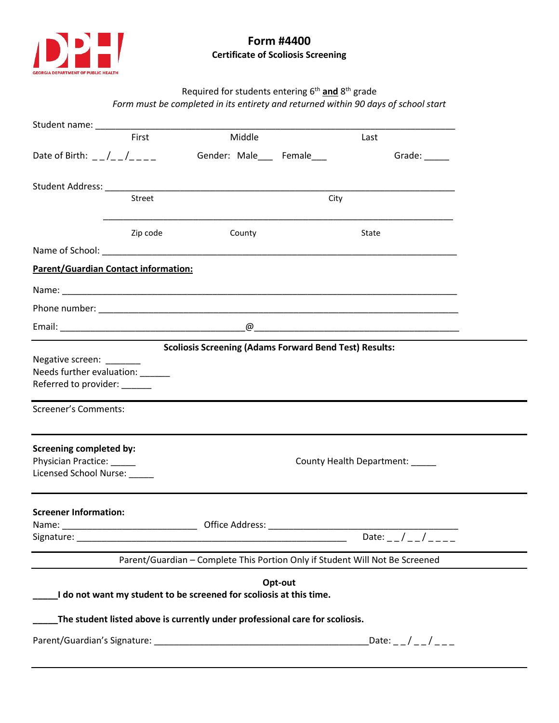

## **Form #4400 Certificate of Scoliosis Screening**

# Required for students entering 6<sup>th</sup> and 8<sup>th</sup> grade *Form must be completed in its entirety and returned within 90 days of school start*

|                                                                                                                          | First         | Middle                    |  | Last                      |  |
|--------------------------------------------------------------------------------------------------------------------------|---------------|---------------------------|--|---------------------------|--|
| Date of Birth: $-$ / $-$ / $  -$                                                                                         |               | Gender: Male___ Female___ |  |                           |  |
|                                                                                                                          |               |                           |  |                           |  |
|                                                                                                                          | <b>Street</b> |                           |  | City                      |  |
|                                                                                                                          | Zip code      | County                    |  | State                     |  |
|                                                                                                                          |               |                           |  |                           |  |
| <b>Parent/Guardian Contact information:</b>                                                                              |               |                           |  |                           |  |
|                                                                                                                          |               |                           |  |                           |  |
|                                                                                                                          |               |                           |  |                           |  |
|                                                                                                                          |               |                           |  |                           |  |
| <b>Scoliosis Screening (Adams Forward Bend Test) Results:</b>                                                            |               |                           |  |                           |  |
| Negative screen: _______<br>Needs further evaluation: ______<br>Referred to provider: ______                             |               |                           |  |                           |  |
| Screener's Comments:                                                                                                     |               |                           |  |                           |  |
| <b>Screening completed by:</b><br>Physician Practice: _____<br>County Health Department: _____<br>Licensed School Nurse: |               |                           |  |                           |  |
| <b>Screener Information:</b><br>Name:                                                                                    |               |                           |  |                           |  |
|                                                                                                                          |               |                           |  | Date: _ _ / _ _ / _ _ _ _ |  |
| Parent/Guardian - Complete This Portion Only if Student Will Not Be Screened                                             |               |                           |  |                           |  |
| Opt-out<br>I do not want my student to be screened for scoliosis at this time.                                           |               |                           |  |                           |  |
| The student listed above is currently under professional care for scoliosis.<br>Date: _ _ / _ _ / _ _ _                  |               |                           |  |                           |  |